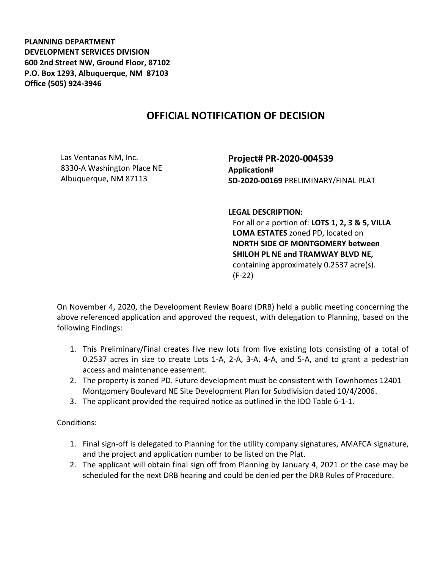**PLANNING DEPARTMENT DEVELOPMENT SERVICES DIVISION 600 2nd Street NW, Ground Floor, 87102 P.O. Box 1293, Albuquerque, NM 87103 Office (505) 924-3946** 

## **OFFICIAL NOTIFICATION OF DECISION**

Las Ventanas NM, Inc. 8330-A Washington Place NE Albuquerque, NM 87113

**Project# PR-2020-004539 Application# SD-2020-00169** PRELIMINARY/FINAL PLAT

**LEGAL DESCRIPTION:**

For all or a portion of: **LOTS 1, 2, 3 & 5, VILLA LOMA ESTATES** zoned PD, located on **NORTH SIDE OF MONTGOMERY between SHILOH PL NE and TRAMWAY BLVD NE,**  containing approximately 0.2537 acre(s). (F-22)

On November 4, 2020, the Development Review Board (DRB) held a public meeting concerning the above referenced application and approved the request, with delegation to Planning, based on the following Findings:

- 1. This Preliminary/Final creates five new lots from five existing lots consisting of a total of 0.2537 acres in size to create Lots 1-A, 2-A, 3-A, 4-A, and 5-A, and to grant a pedestrian access and maintenance easement.
- 2. The property is zoned PD. Future development must be consistent with Townhomes 12401 Montgomery Boulevard NE Site Development Plan for Subdivision dated 10/4/2006.
- 3. The applicant provided the required notice as outlined in the IDO Table 6-1-1.

Conditions:

- 1. Final sign-off is delegated to Planning for the utility company signatures, AMAFCA signature, and the project and application number to be listed on the Plat.
- 2. The applicant will obtain final sign off from Planning by January 4, 2021 or the case may be scheduled for the next DRB hearing and could be denied per the DRB Rules of Procedure.